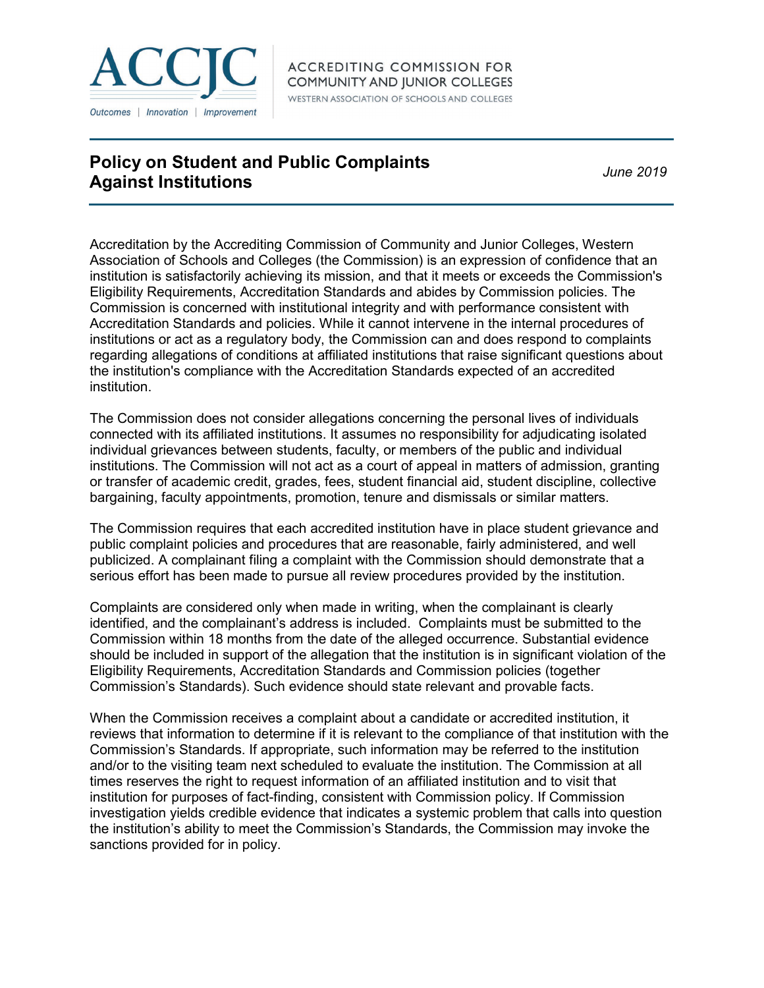

## **Policy on Student and Public Complaints Against Institutions** *June 2019*

Accreditation by the Accrediting Commission of Community and Junior Colleges, Western Association of Schools and Colleges (the Commission) is an expression of confidence that an institution is satisfactorily achieving its mission, and that it meets or exceeds the Commission's Eligibility Requirements, Accreditation Standards and abides by Commission policies. The Commission is concerned with institutional integrity and with performance consistent with Accreditation Standards and policies. While it cannot intervene in the internal procedures of institutions or act as a regulatory body, the Commission can and does respond to complaints regarding allegations of conditions at affiliated institutions that raise significant questions about the institution's compliance with the Accreditation Standards expected of an accredited institution.

The Commission does not consider allegations concerning the personal lives of individuals connected with its affiliated institutions. It assumes no responsibility for adjudicating isolated individual grievances between students, faculty, or members of the public and individual institutions. The Commission will not act as a court of appeal in matters of admission, granting or transfer of academic credit, grades, fees, student financial aid, student discipline, collective bargaining, faculty appointments, promotion, tenure and dismissals or similar matters.

The Commission requires that each accredited institution have in place student grievance and public complaint policies and procedures that are reasonable, fairly administered, and well publicized. A complainant filing a complaint with the Commission should demonstrate that a serious effort has been made to pursue all review procedures provided by the institution.

Complaints are considered only when made in writing, when the complainant is clearly identified, and the complainant's address is included. Complaints must be submitted to the Commission within 18 months from the date of the alleged occurrence. Substantial evidence should be included in support of the allegation that the institution is in significant violation of the Eligibility Requirements, Accreditation Standards and Commission policies (together Commission's Standards). Such evidence should state relevant and provable facts.

When the Commission receives a complaint about a candidate or accredited institution, it reviews that information to determine if it is relevant to the compliance of that institution with the Commission's Standards. If appropriate, such information may be referred to the institution and/or to the visiting team next scheduled to evaluate the institution. The Commission at all times reserves the right to request information of an affiliated institution and to visit that institution for purposes of fact-finding, consistent with Commission policy. If Commission investigation yields credible evidence that indicates a systemic problem that calls into question the institution's ability to meet the Commission's Standards, the Commission may invoke the sanctions provided for in policy.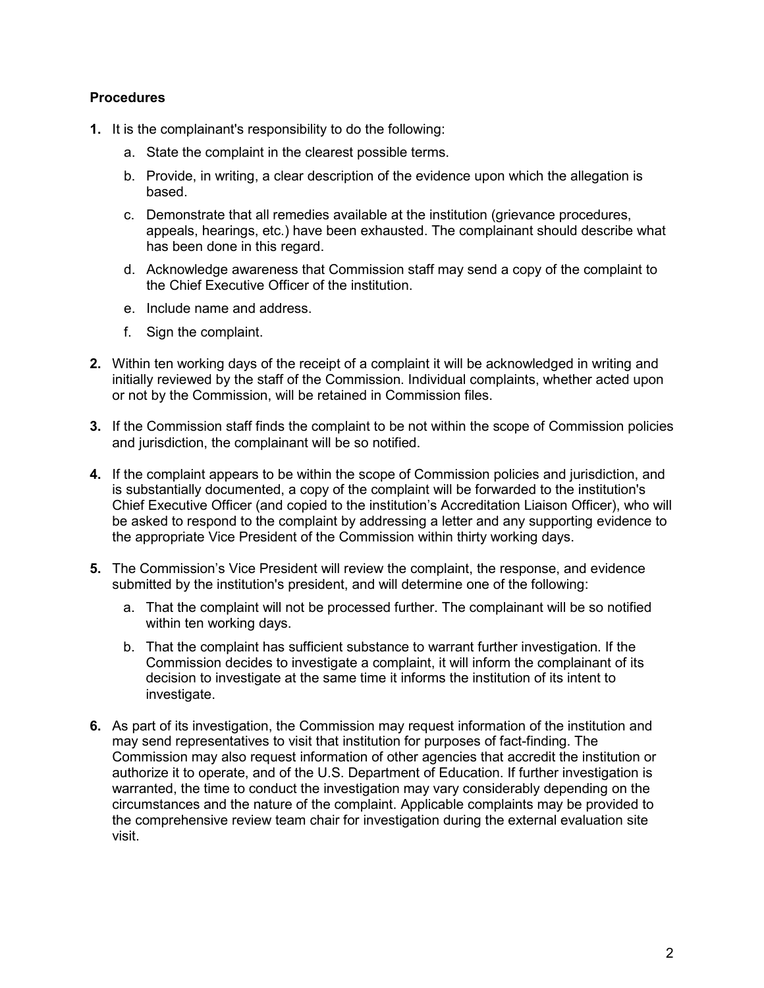## **Procedures**

- **1.** It is the complainant's responsibility to do the following:
	- a. State the complaint in the clearest possible terms.
	- b. Provide, in writing, a clear description of the evidence upon which the allegation is based.
	- c. Demonstrate that all remedies available at the institution (grievance procedures, appeals, hearings, etc.) have been exhausted. The complainant should describe what has been done in this regard.
	- d. Acknowledge awareness that Commission staff may send a copy of the complaint to the Chief Executive Officer of the institution.
	- e. Include name and address.
	- f. Sign the complaint.
- **2.** Within ten working days of the receipt of a complaint it will be acknowledged in writing and initially reviewed by the staff of the Commission. Individual complaints, whether acted upon or not by the Commission, will be retained in Commission files.
- **3.** If the Commission staff finds the complaint to be not within the scope of Commission policies and jurisdiction, the complainant will be so notified.
- **4.** If the complaint appears to be within the scope of Commission policies and jurisdiction, and is substantially documented, a copy of the complaint will be forwarded to the institution's Chief Executive Officer (and copied to the institution's Accreditation Liaison Officer), who will be asked to respond to the complaint by addressing a letter and any supporting evidence to the appropriate Vice President of the Commission within thirty working days.
- **5.** The Commission's Vice President will review the complaint, the response, and evidence submitted by the institution's president, and will determine one of the following:
	- a. That the complaint will not be processed further. The complainant will be so notified within ten working days.
	- b. That the complaint has sufficient substance to warrant further investigation. If the Commission decides to investigate a complaint, it will inform the complainant of its decision to investigate at the same time it informs the institution of its intent to investigate.
- **6.** As part of its investigation, the Commission may request information of the institution and may send representatives to visit that institution for purposes of fact-finding. The Commission may also request information of other agencies that accredit the institution or authorize it to operate, and of the U.S. Department of Education. If further investigation is warranted, the time to conduct the investigation may vary considerably depending on the circumstances and the nature of the complaint. Applicable complaints may be provided to the comprehensive review team chair for investigation during the external evaluation site visit.